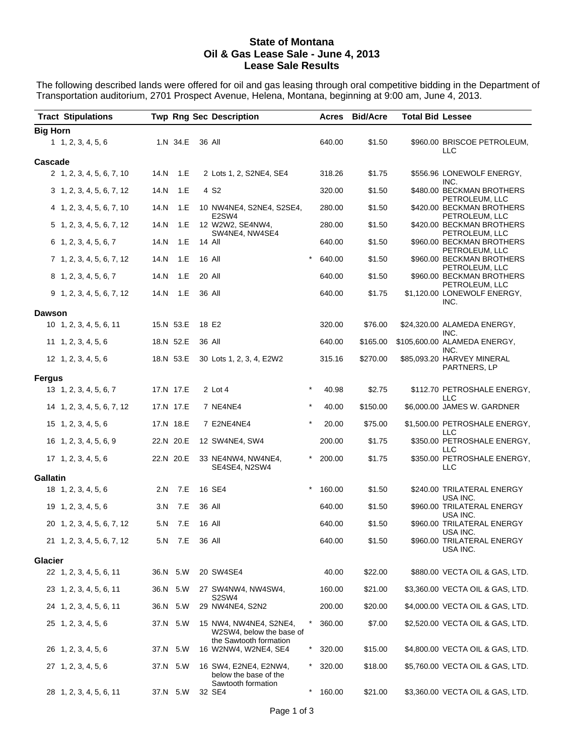## **State of Montana Oil & Gas Lease Sale - June 4, 2013 Lease Sale Results**

The following described lands were offered for oil and gas leasing through oral competitive bidding in the Department of Transportation auditorium, 2701 Prospect Avenue, Helena, Montana, beginning at 9:00 am, June 4, 2013.

| <b>Tract Stipulations</b>        |           |     | <b>Twp Rng Sec Description</b>                     |          |        | Acres Bid/Acre | <b>Total Bid Lessee</b> |                                                       |
|----------------------------------|-----------|-----|----------------------------------------------------|----------|--------|----------------|-------------------------|-------------------------------------------------------|
| <b>Big Horn</b>                  |           |     |                                                    |          |        |                |                         |                                                       |
| 1, 2, 3, 4, 5, 6                 | 1.N 34.E  |     | 36 All                                             |          | 640.00 | \$1.50         |                         | \$960.00 BRISCOE PETROLEUM,<br>LLC                    |
| Cascade                          |           |     |                                                    |          |        |                |                         |                                                       |
| 2 1, 2, 3, 4, 5, 6, 7, 10        | 14.N      | 1.E | 2 Lots 1, 2, S2NE4, SE4                            |          | 318.26 | \$1.75         |                         | \$556.96 LONEWOLF ENERGY,<br>INC.                     |
| $3\quad 1, 2, 3, 4, 5, 6, 7, 12$ | 14.N      | 1.E | 4 S <sub>2</sub>                                   |          | 320.00 | \$1.50         |                         | \$480.00 BECKMAN BROTHERS<br>PETROLEUM, LLC           |
| 4 1, 2, 3, 4, 5, 6, 7, 10        | 14.N      | 1.E | 10 NW4NE4, S2NE4, S2SE4,                           |          | 280.00 | \$1.50         |                         | \$420.00 BECKMAN BROTHERS                             |
| 5 1, 2, 3, 4, 5, 6, 7, 12        | 14.N      | 1.E | E <sub>2</sub> SW <sub>4</sub><br>12 W2W2, SE4NW4, |          | 280.00 | \$1.50         |                         | PETROLEUM, LLC<br>\$420.00 BECKMAN BROTHERS           |
| $6\quad 1, 2, 3, 4, 5, 6, 7$     | 14.N      | 1.E | SW4NE4, NW4SE4<br>14 All                           |          | 640.00 | \$1.50         |                         | PETROLEUM, LLC<br>\$960.00 BECKMAN BROTHERS           |
| 7 1, 2, 3, 4, 5, 6, 7, 12        | 14.N      | 1.E | 16 All                                             | $\star$  | 640.00 | \$1.50         |                         | PETROLEUM, LLC<br>\$960.00 BECKMAN BROTHERS           |
| 8 1, 2, 3, 4, 5, 6, 7            | 14.N      | 1.E | <b>20 All</b>                                      |          | 640.00 | \$1.50         |                         | PETROLEUM, LLC<br>\$960.00 BECKMAN BROTHERS           |
| $9$ 1, 2, 3, 4, 5, 6, 7, 12      | 14.N      | 1.E | 36 All                                             |          | 640.00 | \$1.75         |                         | PETROLEUM, LLC<br>\$1,120.00 LONEWOLF ENERGY,<br>INC. |
| Dawson                           |           |     |                                                    |          |        |                |                         |                                                       |
| 10 1, 2, 3, 4, 5, 6, 11          | 15.N 53.E |     | 18 E2                                              |          | 320.00 | \$76.00        |                         | \$24,320.00 ALAMEDA ENERGY,                           |
| $11 \quad 1, 2, 3, 4, 5, 6$      | 18.N 52.E |     | 36 All                                             |          | 640.00 | \$165.00       |                         | INC.<br>\$105,600.00 ALAMEDA ENERGY,                  |
| 12 1, 2, 3, 4, 5, 6              | 18.N 53.E |     | 30 Lots 1, 2, 3, 4, E2W2                           |          | 315.16 | \$270.00       |                         | INC.<br>\$85,093.20 HARVEY MINERAL<br>PARTNERS, LP    |
| <b>Fergus</b>                    |           |     |                                                    |          |        |                |                         |                                                       |
| 13 1, 2, 3, 4, 5, 6, 7           | 17.N 17.E |     | 2 Lot 4                                            |          | 40.98  | \$2.75         |                         | \$112.70 PETROSHALE ENERGY,<br>LLC.                   |
| 14 1, 2, 3, 4, 5, 6, 7, 12       | 17.N 17.E |     | 7 NE4NE4                                           |          | 40.00  | \$150.00       |                         | \$6,000.00 JAMES W. GARDNER                           |
| $15 \quad 1, 2, 3, 4, 5, 6$      | 17.N 18.E |     | 7 E2NE4NE4                                         |          | 20.00  | \$75.00        |                         | \$1,500.00 PETROSHALE ENERGY,<br>LLC.                 |
| 16 1, 2, 3, 4, 5, 6, 9           | 22.N 20.E |     | 12 SW4NE4, SW4                                     |          | 200.00 | \$1.75         |                         | \$350.00 PETROSHALE ENERGY,<br>LLC.                   |
| 17 1, 2, 3, 4, 5, 6              | 22.N 20.E |     | 33 NE4NW4, NW4NE4,<br>SE4SE4, N2SW4                |          | 200.00 | \$1.75         |                         | \$350.00 PETROSHALE ENERGY,<br>LLC                    |
| Gallatin                         |           |     |                                                    |          |        |                |                         |                                                       |
| 18 1, 2, 3, 4, 5, 6              | 2.N 7.E   |     | 16 SE4                                             | $^\star$ | 160.00 | \$1.50         |                         | \$240.00 TRILATERAL ENERGY<br>USA INC.                |
| 19 1, 2, 3, 4, 5, 6              | 3.N       | 7.E | 36 All                                             |          | 640.00 | \$1.50         |                         | \$960.00 TRILATERAL ENERGY<br>USA INC.                |
| 20 1, 2, 3, 4, 5, 6, 7, 12       | 5.N 7.E   |     | 16 All                                             |          | 640.00 | \$1.50         |                         | \$960.00 TRILATERAL ENERGY<br>USA INC.                |
| 21 1, 2, 3, 4, 5, 6, 7, 12       | 5.N       | 7.E | 36 All                                             |          | 640.00 | \$1.50         |                         | \$960.00 TRILATERAL ENERGY<br>USA INC.                |
| Glacier                          |           |     |                                                    |          |        |                |                         |                                                       |
| 22 1, 2, 3, 4, 5, 6, 11          | 36.N 5.W  |     | 20 SW4SE4                                          |          | 40.00  | \$22.00        |                         | \$880.00 VECTA OIL & GAS, LTD.                        |
| 23 1, 2, 3, 4, 5, 6, 11          | 36.N 5.W  |     | 27 SW4NW4, NW4SW4,<br>S2SW4                        |          | 160.00 | \$21.00        |                         | \$3,360.00 VECTA OIL & GAS, LTD.                      |
| 24 1, 2, 3, 4, 5, 6, 11          | 36.N 5.W  |     | 29 NW4NE4, S2N2                                    |          | 200.00 | \$20.00        |                         | \$4,000.00 VECTA OIL & GAS, LTD.                      |
| 25 1, 2, 3, 4, 5, 6              | 37.N 5.W  |     | 15 NW4, NW4NE4, S2NE4,<br>W2SW4, below the base of | $\ast$   | 360.00 | \$7.00         |                         | \$2,520.00 VECTA OIL & GAS, LTD.                      |
| 26 1, 2, 3, 4, 5, 6              | 37.N 5.W  |     | the Sawtooth formation<br>16 W2NW4, W2NE4, SE4     | *        | 320.00 | \$15.00        |                         | \$4,800.00 VECTA OIL & GAS, LTD.                      |
| 27 1, 2, 3, 4, 5, 6              | 37.N 5.W  |     | 16 SW4, E2NE4, E2NW4,<br>below the base of the     | $\ast$   | 320.00 | \$18.00        |                         | \$5,760.00 VECTA OIL & GAS, LTD.                      |
| 28 1, 2, 3, 4, 5, 6, 11          | 37.N 5.W  |     | Sawtooth formation<br>32 SE4                       | $\star$  | 160.00 | \$21.00        |                         | \$3,360.00 VECTA OIL & GAS, LTD.                      |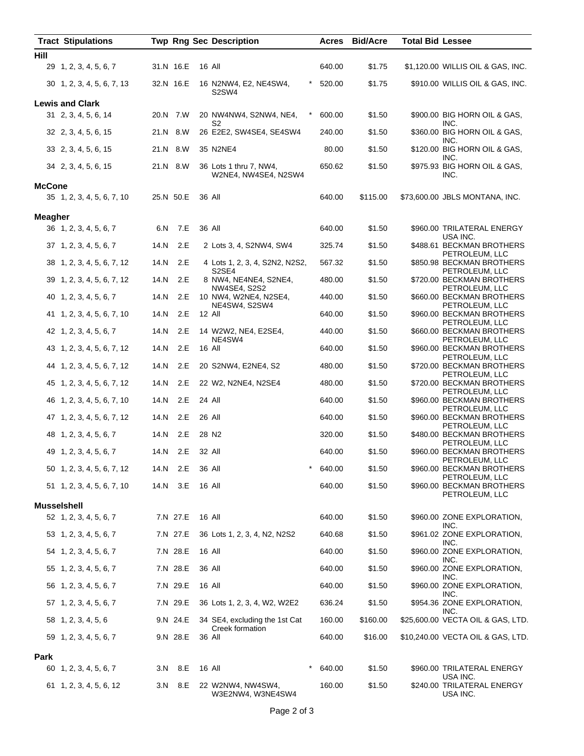|                | <b>Tract Stipulations</b>  |           |          |        | <b>Twp Rng Sec Description</b>                          |        | Acres Bid/Acre | <b>Total Bid Lessee</b> |                                                               |
|----------------|----------------------------|-----------|----------|--------|---------------------------------------------------------|--------|----------------|-------------------------|---------------------------------------------------------------|
| Hill           |                            |           |          |        |                                                         |        |                |                         |                                                               |
|                | 29 1, 2, 3, 4, 5, 6, 7     | 31.N 16.E |          |        | 16 All                                                  | 640.00 | \$1.75         |                         | \$1,120.00 WILLIS OIL & GAS, INC.                             |
|                | 30 1, 2, 3, 4, 5, 6, 7, 13 | 32.N 16.E |          |        | 16 N2NW4, E2, NE4SW4,<br>S2SW4                          | 520.00 | \$1.75         |                         | \$910.00 WILLIS OIL & GAS, INC.                               |
|                | <b>Lewis and Clark</b>     |           |          |        |                                                         |        |                |                         |                                                               |
|                | 31 2, 3, 4, 5, 6, 14       | 20.N 7.W  |          |        | 20 NW4NW4, S2NW4, NE4,<br>$\ast$<br>S2                  | 600.00 | \$1.50         |                         | \$900.00 BIG HORN OIL & GAS,<br>INC.                          |
|                | 32 2, 3, 4, 5, 6, 15       | 21.N 8.W  |          |        | 26 E2E2, SW4SE4, SE4SW4                                 | 240.00 | \$1.50         |                         | \$360.00 BIG HORN OIL & GAS,<br>INC.                          |
|                | 33 2, 3, 4, 5, 6, 15       | 21.N 8.W  |          |        | 35 N2NE4                                                | 80.00  | \$1.50         |                         | \$120.00 BIG HORN OIL & GAS,<br>INC.                          |
|                | 34 2, 3, 4, 5, 6, 15       | 21.N 8.W  |          |        | 36 Lots 1 thru 7, NW4,<br>W2NE4, NW4SE4, N2SW4          | 650.62 | \$1.50         |                         | \$975.93 BIG HORN OIL & GAS,<br>INC.                          |
| <b>McCone</b>  |                            |           |          |        |                                                         |        |                |                         |                                                               |
|                | 35 1, 2, 3, 4, 5, 6, 7, 10 | 25.N 50.E |          | 36 All |                                                         | 640.00 | \$115.00       |                         | \$73,600.00 JBLS MONTANA, INC.                                |
| <b>Meagher</b> |                            |           |          |        |                                                         |        |                |                         |                                                               |
|                | 36 1, 2, 3, 4, 5, 6, 7     |           | 6.N 7.E  |        | 36 All                                                  | 640.00 | \$1.50         |                         | \$960.00 TRILATERAL ENERGY                                    |
|                | 37 1, 2, 3, 4, 5, 6, 7     | 14.N      | 2.E      |        | 2 Lots 3, 4, S2NW4, SW4                                 | 325.74 | \$1.50         |                         | USA INC.<br>\$488.61 BECKMAN BROTHERS                         |
|                | 38 1, 2, 3, 4, 5, 6, 7, 12 | 14.N      | 2.E      |        | 4 Lots 1, 2, 3, 4, S2N2, N2S2,                          | 567.32 | \$1.50         |                         | PETROLEUM, LLC<br>\$850.98 BECKMAN BROTHERS                   |
|                | 39 1, 2, 3, 4, 5, 6, 7, 12 | 14.N      | 2.E      |        | S <sub>2</sub> SE <sub>4</sub><br>8 NW4, NE4NE4, S2NE4, | 480.00 | \$1.50         |                         | PETROLEUM, LLC<br>\$720.00 BECKMAN BROTHERS                   |
|                | 40 1, 2, 3, 4, 5, 6, 7     | 14.N      | 2.E      |        | NW4SE4, S2S2<br>10 NW4, W2NE4, N2SE4,                   | 440.00 | \$1.50         |                         | PETROLEUM, LLC<br>\$660.00 BECKMAN BROTHERS<br>PETROLEUM, LLC |
|                | 41 1, 2, 3, 4, 5, 6, 7, 10 | 14.N      | 2.E      |        | NE4SW4, S2SW4<br>12 All                                 | 640.00 | \$1.50         |                         | \$960.00 BECKMAN BROTHERS                                     |
|                | 42 1, 2, 3, 4, 5, 6, 7     | 14.N      | 2.E      |        | 14 W2W2, NE4, E2SE4,<br>NE4SW4                          | 440.00 | \$1.50         |                         | PETROLEUM, LLC<br>\$660.00 BECKMAN BROTHERS<br>PETROLEUM, LLC |
|                | 43 1, 2, 3, 4, 5, 6, 7, 12 | 14.N      | 2.E      |        | 16 All                                                  | 640.00 | \$1.50         |                         | \$960.00 BECKMAN BROTHERS<br>PETROLEUM, LLC                   |
|                | 44 1, 2, 3, 4, 5, 6, 7, 12 | 14.N      | 2.E      |        | 20 S2NW4, E2NE4, S2                                     | 480.00 | \$1.50         |                         | \$720.00 BECKMAN BROTHERS<br>PETROLEUM, LLC                   |
|                | 45 1, 2, 3, 4, 5, 6, 7, 12 | 14.N      | 2.E      |        | 22 W2, N2NE4, N2SE4                                     | 480.00 | \$1.50         |                         | \$720.00 BECKMAN BROTHERS<br>PETROLEUM, LLC                   |
|                | 46 1, 2, 3, 4, 5, 6, 7, 10 | 14.N      | 2.E      | 24 All |                                                         | 640.00 | \$1.50         |                         | \$960.00 BECKMAN BROTHERS<br>PETROLEUM, LLC                   |
|                | 47 1, 2, 3, 4, 5, 6, 7, 12 | 14.N      | 2.E      | 26 All |                                                         | 640.00 | \$1.50         |                         | \$960.00 BECKMAN BROTHERS<br>PETROLEUM, LLC                   |
|                | 48 1, 2, 3, 4, 5, 6, 7     | 14.N 2.E  |          |        | 28 N2                                                   | 320.00 | \$1.50         |                         | \$480.00 BECKMAN BROTHERS<br>PETROLEUM, LLC                   |
|                | 49 1, 2, 3, 4, 5, 6, 7     | 14.N 2.E  |          | 32 All |                                                         | 640.00 | \$1.50         |                         | \$960.00 BECKMAN BROTHERS<br>PETROLEUM, LLC                   |
|                | 50 1, 2, 3, 4, 5, 6, 7, 12 | 14.N 2.E  |          | 36 All | $\star$                                                 | 640.00 | \$1.50         |                         | \$960.00 BECKMAN BROTHERS<br>PETROLEUM, LLC                   |
|                | 51 1, 2, 3, 4, 5, 6, 7, 10 | 14.N      | 3.E      |        | 16 All                                                  | 640.00 | \$1.50         |                         | \$960.00 BECKMAN BROTHERS<br>PETROLEUM, LLC                   |
|                | <b>Musselshell</b>         |           |          |        |                                                         |        |                |                         |                                                               |
|                | 52 1, 2, 3, 4, 5, 6, 7     |           | 7.N 27.E |        | 16 All                                                  | 640.00 | \$1.50         |                         | \$960.00 ZONE EXPLORATION,<br>INC.                            |
|                | 53 1, 2, 3, 4, 5, 6, 7     |           | 7.N 27.E |        | 36 Lots 1, 2, 3, 4, N2, N2S2                            | 640.68 | \$1.50         |                         | \$961.02 ZONE EXPLORATION,<br>INC.                            |
|                | 54 1, 2, 3, 4, 5, 6, 7     |           | 7.N 28.E |        | 16 All                                                  | 640.00 | \$1.50         |                         | \$960.00 ZONE EXPLORATION,<br>INC.                            |
|                | 55 1, 2, 3, 4, 5, 6, 7     |           | 7.N 28.E |        | 36 All                                                  | 640.00 | \$1.50         |                         | \$960.00 ZONE EXPLORATION,<br>INC.                            |
|                | 56 1, 2, 3, 4, 5, 6, 7     |           | 7.N 29.E | 16 All |                                                         | 640.00 | \$1.50         |                         | \$960.00 ZONE EXPLORATION,<br>INC.                            |
|                | 57 1, 2, 3, 4, 5, 6, 7     |           | 7.N 29.E |        | 36 Lots 1, 2, 3, 4, W2, W2E2                            | 636.24 | \$1.50         |                         | \$954.36 ZONE EXPLORATION,<br>INC.                            |
|                | 58 1, 2, 3, 4, 5, 6        |           | 9.N 24.E |        | 34 SE4, excluding the 1st Cat<br>Creek formation        | 160.00 | \$160.00       |                         | \$25,600.00 VECTA OIL & GAS, LTD.                             |
|                | 59 1, 2, 3, 4, 5, 6, 7     |           | 9.N 28.E |        | 36 All                                                  | 640.00 | \$16.00        |                         | \$10,240.00 VECTA OIL & GAS, LTD.                             |
| Park           |                            |           |          |        |                                                         |        |                |                         |                                                               |
|                | 60 1, 2, 3, 4, 5, 6, 7     |           | 3.N 8.E  |        | $\ast$<br>16 All                                        | 640.00 | \$1.50         |                         | \$960.00 TRILATERAL ENERGY<br>USA INC.                        |
|                | 61 1, 2, 3, 4, 5, 6, 12    |           | 3.N 8.E  |        | 22 W2NW4, NW4SW4,<br>W3E2NW4, W3NE4SW4                  | 160.00 | \$1.50         |                         | \$240.00 TRILATERAL ENERGY<br>USA INC.                        |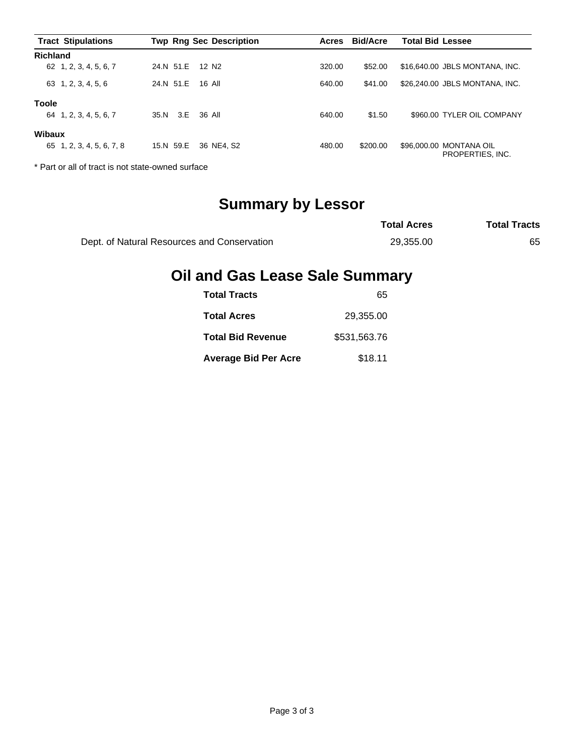| <b>Tract Stipulations</b> |                 | <b>Twp Rng Sec Description</b> | Acres  | <b>Bid/Acre</b> | <b>Total Bid Lessee</b>                     |
|---------------------------|-----------------|--------------------------------|--------|-----------------|---------------------------------------------|
| <b>Richland</b>           |                 |                                |        |                 |                                             |
| 62 1, 2, 3, 4, 5, 6, 7    | 24.N 51.E       | 12 N2                          | 320.00 | \$52.00         | \$16,640,00 JBLS MONTANA, INC.              |
| 63 1, 2, 3, 4, 5, 6       | 24.N 51.E       | 16 All                         | 640.00 | \$41.00         | \$26,240.00 JBLS MONTANA, INC.              |
| <b>Toole</b>              |                 |                                |        |                 |                                             |
| 64 1.2.3.4.5.6.7          | 35.N 3.E 36 All |                                | 640.00 | \$1.50          | \$960.00 TYLER OIL COMPANY                  |
| Wibaux                    |                 |                                |        |                 |                                             |
| 65 1, 2, 3, 4, 5, 6, 7, 8 | 15.N 59.E       | 36 NE4, S2                     | 480.00 | \$200.00        | \$96,000.00 MONTANA OIL<br>PROPERTIES, INC. |

\* Part or all of tract is not state-owned surface

## **Summary by Lessor**

|                                             | <b>Total Acres</b> | <b>Total Tracts</b> |
|---------------------------------------------|--------------------|---------------------|
| Dept. of Natural Resources and Conservation | 29.355.00          | 65                  |

## **Oil and Gas Lease Sale Summary**

| <b>Total Tracts</b>         | 65           |
|-----------------------------|--------------|
| <b>Total Acres</b>          | 29.355.00    |
| <b>Total Bid Revenue</b>    | \$531,563,76 |
| <b>Average Bid Per Acre</b> | \$18.11      |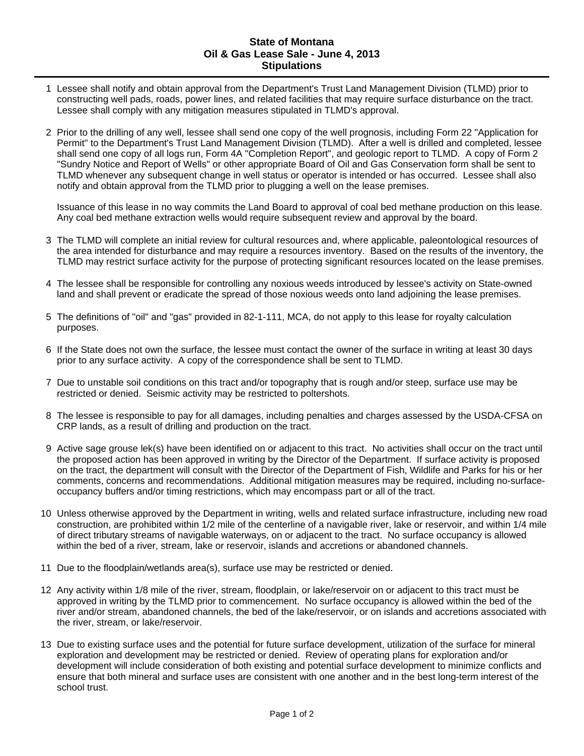## **State of Montana Oil & Gas Lease Sale - June 4, 2013 Stipulations**

- 1 Lessee shall notify and obtain approval from the Department's Trust Land Management Division (TLMD) prior to constructing well pads, roads, power lines, and related facilities that may require surface disturbance on the tract. Lessee shall comply with any mitigation measures stipulated in TLMD's approval.
- 2 Prior to the drilling of any well, lessee shall send one copy of the well prognosis, including Form 22 "Application for Permit" to the Department's Trust Land Management Division (TLMD). After a well is drilled and completed, lessee shall send one copy of all logs run, Form 4A "Completion Report", and geologic report to TLMD. A copy of Form 2 "Sundry Notice and Report of Wells" or other appropriate Board of Oil and Gas Conservation form shall be sent to TLMD whenever any subsequent change in well status or operator is intended or has occurred. Lessee shall also notify and obtain approval from the TLMD prior to plugging a well on the lease premises.

Issuance of this lease in no way commits the Land Board to approval of coal bed methane production on this lease. Any coal bed methane extraction wells would require subsequent review and approval by the board.

- 3 The TLMD will complete an initial review for cultural resources and, where applicable, paleontological resources of the area intended for disturbance and may require a resources inventory. Based on the results of the inventory, the TLMD may restrict surface activity for the purpose of protecting significant resources located on the lease premises.
- 4 The lessee shall be responsible for controlling any noxious weeds introduced by lessee's activity on State-owned land and shall prevent or eradicate the spread of those noxious weeds onto land adjoining the lease premises.
- 5 The definitions of "oil" and "gas" provided in 82-1-111, MCA, do not apply to this lease for royalty calculation purposes.
- 6 If the State does not own the surface, the lessee must contact the owner of the surface in writing at least 30 days prior to any surface activity. A copy of the correspondence shall be sent to TLMD.
- 7 Due to unstable soil conditions on this tract and/or topography that is rough and/or steep, surface use may be restricted or denied. Seismic activity may be restricted to poltershots.
- 8 The lessee is responsible to pay for all damages, including penalties and charges assessed by the USDA-CFSA on CRP lands, as a result of drilling and production on the tract.
- 9 Active sage grouse lek(s) have been identified on or adjacent to this tract. No activities shall occur on the tract until the proposed action has been approved in writing by the Director of the Department. If surface activity is proposed on the tract, the department will consult with the Director of the Department of Fish, Wildlife and Parks for his or her comments, concerns and recommendations. Additional mitigation measures may be required, including no-surfaceoccupancy buffers and/or timing restrictions, which may encompass part or all of the tract.
- 10 Unless otherwise approved by the Department in writing, wells and related surface infrastructure, including new road construction, are prohibited within 1/2 mile of the centerline of a navigable river, lake or reservoir, and within 1/4 mile of direct tributary streams of navigable waterways, on or adjacent to the tract. No surface occupancy is allowed within the bed of a river, stream, lake or reservoir, islands and accretions or abandoned channels.
- 11 Due to the floodplain/wetlands area(s), surface use may be restricted or denied.
- 12 Any activity within 1/8 mile of the river, stream, floodplain, or lake/reservoir on or adjacent to this tract must be approved in writing by the TLMD prior to commencement. No surface occupancy is allowed within the bed of the river and/or stream, abandoned channels, the bed of the lake/reservoir, or on islands and accretions associated with the river, stream, or lake/reservoir.
- 13 Due to existing surface uses and the potential for future surface development, utilization of the surface for mineral exploration and development may be restricted or denied. Review of operating plans for exploration and/or development will include consideration of both existing and potential surface development to minimize conflicts and ensure that both mineral and surface uses are consistent with one another and in the best long-term interest of the school trust.